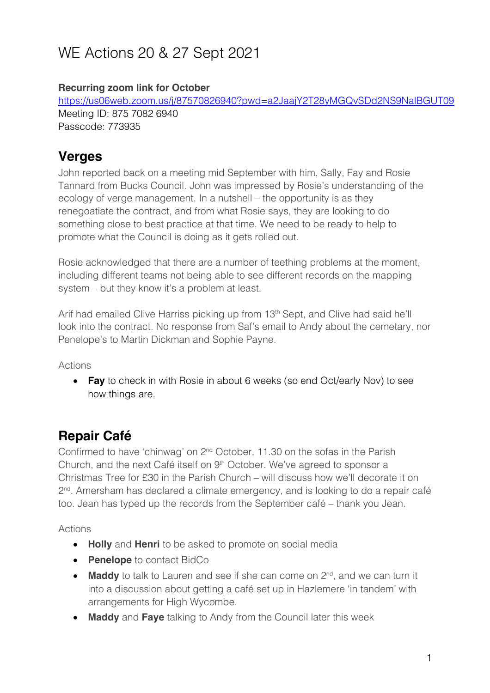# WE Actions 20 & 27 Sept 2021

#### **Recurring zoom link for October**

https://us06web.zoom.us/j/87570826940?pwd=a2JaajY2T28yMGQvSDd2NS9NalBGUT09 Meeting ID: 875 7082 6940 Passcode: 773935

#### **Verges**

John reported back on a meeting mid September with him, Sally, Fay and Rosie Tannard from Bucks Council. John was impressed by Rosie's understanding of the ecology of verge management. In a nutshell – the opportunity is as they renegoatiate the contract, and from what Rosie says, they are looking to do something close to best practice at that time. We need to be ready to help to promote what the Council is doing as it gets rolled out.

Rosie acknowledged that there are a number of teething problems at the moment, including different teams not being able to see different records on the mapping system – but they know it's a problem at least.

Arif had emailed Clive Harriss picking up from 13<sup>th</sup> Sept, and Clive had said he'll look into the contract. No response from Saf's email to Andy about the cemetary, nor Penelope's to Martin Dickman and Sophie Payne.

Actions

• **Fay** to check in with Rosie in about 6 weeks (so end Oct/early Nov) to see how things are.

### **Repair Café**

Confirmed to have 'chinwag' on 2nd October, 11.30 on the sofas in the Parish Church, and the next Café itself on 9<sup>th</sup> October. We've agreed to sponsor a Christmas Tree for £30 in the Parish Church – will discuss how we'll decorate it on  $2<sup>nd</sup>$ . Amersham has declared a climate emergency, and is looking to do a repair café too. Jean has typed up the records from the September café – thank you Jean.

Actions

- **Holly** and **Henri** to be asked to promote on social media
- **Penelope** to contact BidCo
- **Maddy** to talk to Lauren and see if she can come on 2<sup>nd</sup>, and we can turn it into a discussion about getting a café set up in Hazlemere 'in tandem' with arrangements for High Wycombe.
- **Maddy** and **Faye** talking to Andy from the Council later this week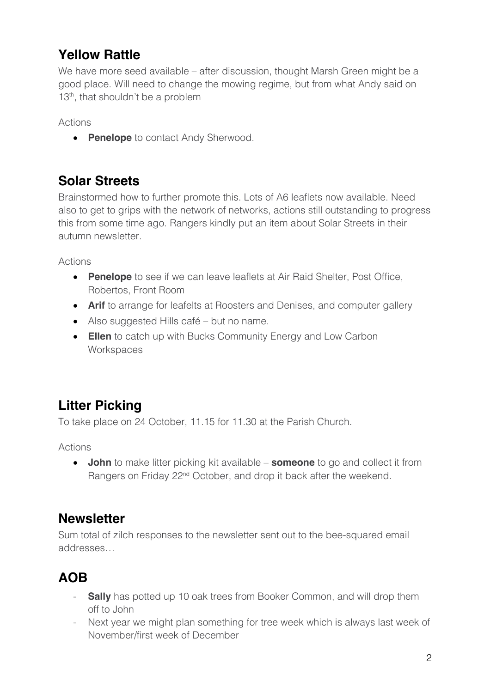## **Yellow Rattle**

We have more seed available – after discussion, thought Marsh Green might be a good place. Will need to change the mowing regime, but from what Andy said on 13<sup>th</sup>, that shouldn't be a problem

Actions

• **Penelope** to contact Andy Sherwood.

## **Solar Streets**

Brainstormed how to further promote this. Lots of A6 leaflets now available. Need also to get to grips with the network of networks, actions still outstanding to progress this from some time ago. Rangers kindly put an item about Solar Streets in their autumn newsletter.

Actions

- **Penelope** to see if we can leave leaflets at Air Raid Shelter, Post Office, Robertos, Front Room
- **Arif** to arrange for leafelts at Roosters and Denises, and computer gallery
- Also suggested Hills café but no name.
- **Ellen** to catch up with Bucks Community Energy and Low Carbon **Workspaces**

# **Litter Picking**

To take place on 24 October, 11.15 for 11.30 at the Parish Church.

Actions

• **John** to make litter picking kit available – **someone** to go and collect it from Rangers on Friday 22<sup>nd</sup> October, and drop it back after the weekend.

#### **Newsletter**

Sum total of zilch responses to the newsletter sent out to the bee-squared email addresses…

# **AOB**

- **Sally** has potted up 10 oak trees from Booker Common, and will drop them off to John
- Next year we might plan something for tree week which is always last week of November/first week of December